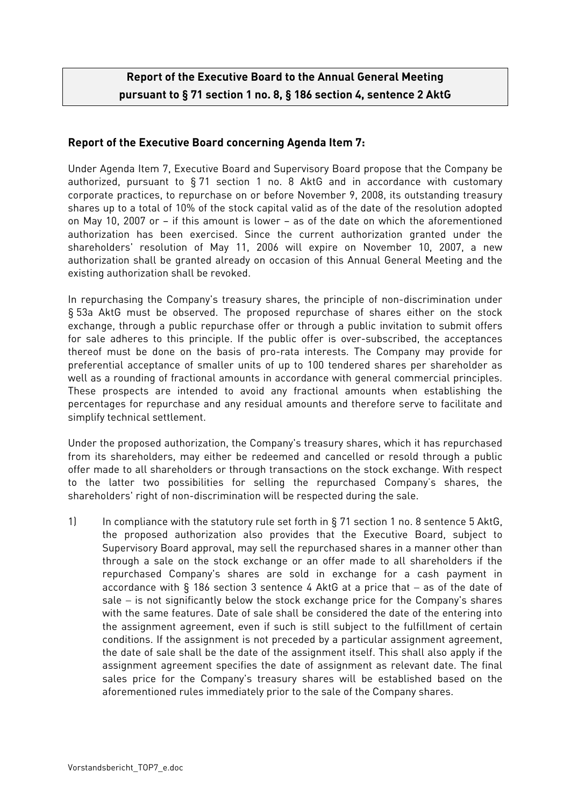## **Report of the Executive Board to the Annual General Meeting pursuant to § 71 section 1 no. 8, § 186 section 4, sentence 2 AktG**

## **Report of the Executive Board concerning Agenda Item 7:**

Under Agenda Item 7, Executive Board and Supervisory Board propose that the Company be authorized, pursuant to § 71 section 1 no. 8 AktG and in accordance with customary corporate practices, to repurchase on or before November 9, 2008, its outstanding treasury shares up to a total of 10% of the stock capital valid as of the date of the resolution adopted on May 10, 2007 or – if this amount is lower – as of the date on which the aforementioned authorization has been exercised. Since the current authorization granted under the shareholders' resolution of May 11, 2006 will expire on November 10, 2007, a new authorization shall be granted already on occasion of this Annual General Meeting and the existing authorization shall be revoked.

In repurchasing the Company's treasury shares, the principle of non-discrimination under § 53a AktG must be observed. The proposed repurchase of shares either on the stock exchange, through a public repurchase offer or through a public invitation to submit offers for sale adheres to this principle. If the public offer is over-subscribed, the acceptances thereof must be done on the basis of pro-rata interests. The Company may provide for preferential acceptance of smaller units of up to 100 tendered shares per shareholder as well as a rounding of fractional amounts in accordance with general commercial principles. These prospects are intended to avoid any fractional amounts when establishing the percentages for repurchase and any residual amounts and therefore serve to facilitate and simplify technical settlement.

Under the proposed authorization, the Company's treasury shares, which it has repurchased from its shareholders, may either be redeemed and cancelled or resold through a public offer made to all shareholders or through transactions on the stock exchange. With respect to the latter two possibilities for selling the repurchased Company's shares, the shareholders' right of non-discrimination will be respected during the sale.

1) In compliance with the statutory rule set forth in § 71 section 1 no. 8 sentence 5 AktG, the proposed authorization also provides that the Executive Board, subject to Supervisory Board approval, may sell the repurchased shares in a manner other than through a sale on the stock exchange or an offer made to all shareholders if the repurchased Company's shares are sold in exchange for a cash payment in accordance with § 186 section 3 sentence 4 AktG at a price that − as of the date of sale – is not significantly below the stock exchange price for the Company's shares with the same features. Date of sale shall be considered the date of the entering into the assignment agreement, even if such is still subject to the fulfillment of certain conditions. If the assignment is not preceded by a particular assignment agreement, the date of sale shall be the date of the assignment itself. This shall also apply if the assignment agreement specifies the date of assignment as relevant date. The final sales price for the Company's treasury shares will be established based on the aforementioned rules immediately prior to the sale of the Company shares.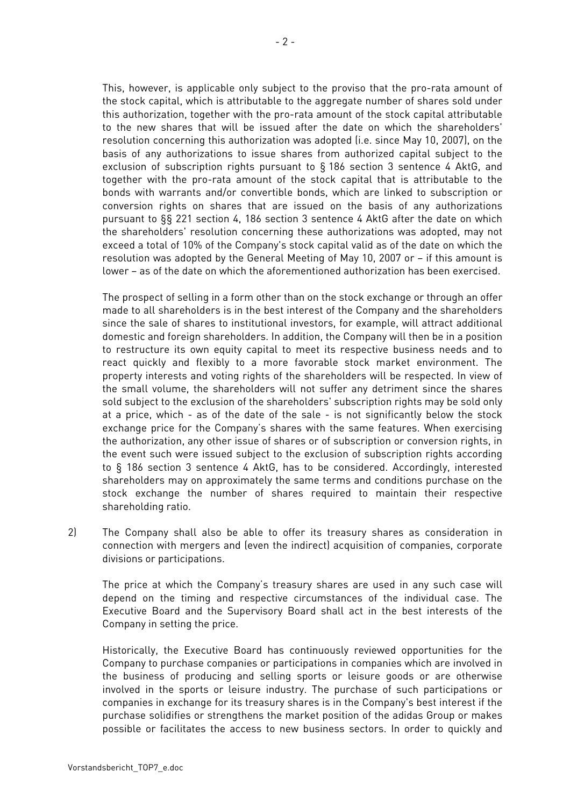This, however, is applicable only subject to the proviso that the pro-rata amount of the stock capital, which is attributable to the aggregate number of shares sold under this authorization, together with the pro-rata amount of the stock capital attributable to the new shares that will be issued after the date on which the shareholders' resolution concerning this authorization was adopted (i.e. since May 10, 2007), on the basis of any authorizations to issue shares from authorized capital subject to the exclusion of subscription rights pursuant to § 186 section 3 sentence 4 AktG, and together with the pro-rata amount of the stock capital that is attributable to the bonds with warrants and/or convertible bonds, which are linked to subscription or conversion rights on shares that are issued on the basis of any authorizations pursuant to §§ 221 section 4, 186 section 3 sentence 4 AktG after the date on which the shareholders' resolution concerning these authorizations was adopted, may not exceed a total of 10% of the Company's stock capital valid as of the date on which the resolution was adopted by the General Meeting of May 10, 2007 or – if this amount is lower – as of the date on which the aforementioned authorization has been exercised.

The prospect of selling in a form other than on the stock exchange or through an offer made to all shareholders is in the best interest of the Company and the shareholders since the sale of shares to institutional investors, for example, will attract additional domestic and foreign shareholders. In addition, the Company will then be in a position to restructure its own equity capital to meet its respective business needs and to react quickly and flexibly to a more favorable stock market environment. The property interests and voting rights of the shareholders will be respected. In view of the small volume, the shareholders will not suffer any detriment since the shares sold subject to the exclusion of the shareholders' subscription rights may be sold only at a price, which - as of the date of the sale - is not significantly below the stock exchange price for the Company's shares with the same features. When exercising the authorization, any other issue of shares or of subscription or conversion rights, in the event such were issued subject to the exclusion of subscription rights according to § 186 section 3 sentence 4 AktG, has to be considered. Accordingly, interested shareholders may on approximately the same terms and conditions purchase on the stock exchange the number of shares required to maintain their respective shareholding ratio.

2) The Company shall also be able to offer its treasury shares as consideration in connection with mergers and (even the indirect) acquisition of companies, corporate divisions or participations.

 The price at which the Company's treasury shares are used in any such case will depend on the timing and respective circumstances of the individual case. The Executive Board and the Supervisory Board shall act in the best interests of the Company in setting the price.

Historically, the Executive Board has continuously reviewed opportunities for the Company to purchase companies or participations in companies which are involved in the business of producing and selling sports or leisure goods or are otherwise involved in the sports or leisure industry. The purchase of such participations or companies in exchange for its treasury shares is in the Company's best interest if the purchase solidifies or strengthens the market position of the adidas Group or makes possible or facilitates the access to new business sectors. In order to quickly and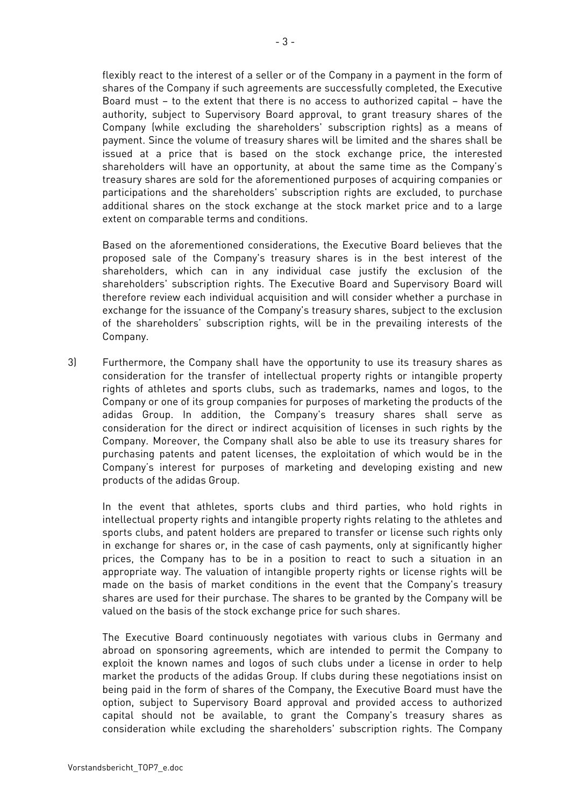flexibly react to the interest of a seller or of the Company in a payment in the form of shares of the Company if such agreements are successfully completed, the Executive Board must – to the extent that there is no access to authorized capital – have the authority, subject to Supervisory Board approval, to grant treasury shares of the Company (while excluding the shareholders' subscription rights) as a means of payment. Since the volume of treasury shares will be limited and the shares shall be issued at a price that is based on the stock exchange price, the interested shareholders will have an opportunity, at about the same time as the Company's treasury shares are sold for the aforementioned purposes of acquiring companies or participations and the shareholders' subscription rights are excluded, to purchase additional shares on the stock exchange at the stock market price and to a large extent on comparable terms and conditions.

Based on the aforementioned considerations, the Executive Board believes that the proposed sale of the Company's treasury shares is in the best interest of the shareholders, which can in any individual case justify the exclusion of the shareholders' subscription rights. The Executive Board and Supervisory Board will therefore review each individual acquisition and will consider whether a purchase in exchange for the issuance of the Company's treasury shares, subject to the exclusion of the shareholders' subscription rights, will be in the prevailing interests of the Company.

3) Furthermore, the Company shall have the opportunity to use its treasury shares as consideration for the transfer of intellectual property rights or intangible property rights of athletes and sports clubs, such as trademarks, names and logos, to the Company or one of its group companies for purposes of marketing the products of the adidas Group. In addition, the Company's treasury shares shall serve as consideration for the direct or indirect acquisition of licenses in such rights by the Company. Moreover, the Company shall also be able to use its treasury shares for purchasing patents and patent licenses, the exploitation of which would be in the Company's interest for purposes of marketing and developing existing and new products of the adidas Group.

In the event that athletes, sports clubs and third parties, who hold rights in intellectual property rights and intangible property rights relating to the athletes and sports clubs, and patent holders are prepared to transfer or license such rights only in exchange for shares or, in the case of cash payments, only at significantly higher prices, the Company has to be in a position to react to such a situation in an appropriate way. The valuation of intangible property rights or license rights will be made on the basis of market conditions in the event that the Company's treasury shares are used for their purchase. The shares to be granted by the Company will be valued on the basis of the stock exchange price for such shares.

The Executive Board continuously negotiates with various clubs in Germany and abroad on sponsoring agreements, which are intended to permit the Company to exploit the known names and logos of such clubs under a license in order to help market the products of the adidas Group. If clubs during these negotiations insist on being paid in the form of shares of the Company, the Executive Board must have the option, subject to Supervisory Board approval and provided access to authorized capital should not be available, to grant the Company's treasury shares as consideration while excluding the shareholders' subscription rights. The Company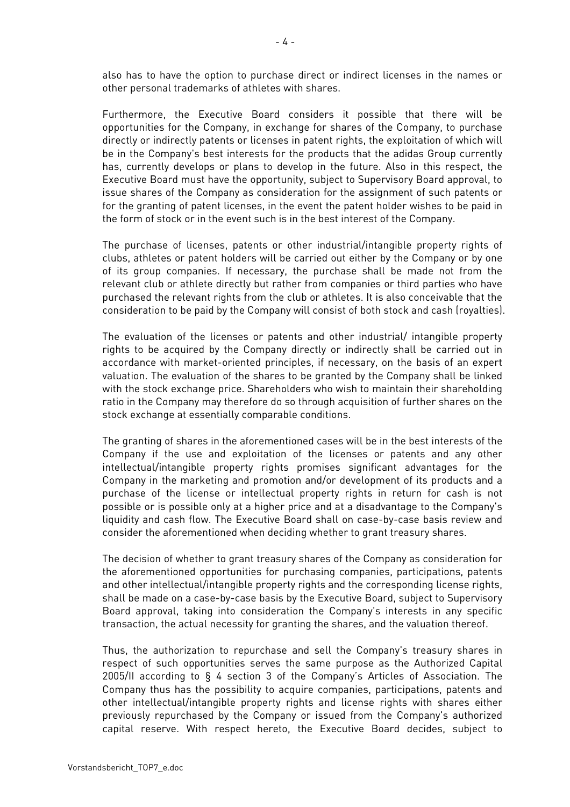also has to have the option to purchase direct or indirect licenses in the names or other personal trademarks of athletes with shares.

Furthermore, the Executive Board considers it possible that there will be opportunities for the Company, in exchange for shares of the Company, to purchase directly or indirectly patents or licenses in patent rights, the exploitation of which will be in the Company's best interests for the products that the adidas Group currently has, currently develops or plans to develop in the future. Also in this respect, the Executive Board must have the opportunity, subject to Supervisory Board approval, to issue shares of the Company as consideration for the assignment of such patents or for the granting of patent licenses, in the event the patent holder wishes to be paid in the form of stock or in the event such is in the best interest of the Company.

The purchase of licenses, patents or other industrial/intangible property rights of clubs, athletes or patent holders will be carried out either by the Company or by one of its group companies. If necessary, the purchase shall be made not from the relevant club or athlete directly but rather from companies or third parties who have purchased the relevant rights from the club or athletes. It is also conceivable that the consideration to be paid by the Company will consist of both stock and cash (royalties).

The evaluation of the licenses or patents and other industrial/ intangible property rights to be acquired by the Company directly or indirectly shall be carried out in accordance with market-oriented principles, if necessary, on the basis of an expert valuation. The evaluation of the shares to be granted by the Company shall be linked with the stock exchange price. Shareholders who wish to maintain their shareholding ratio in the Company may therefore do so through acquisition of further shares on the stock exchange at essentially comparable conditions.

The granting of shares in the aforementioned cases will be in the best interests of the Company if the use and exploitation of the licenses or patents and any other intellectual/intangible property rights promises significant advantages for the Company in the marketing and promotion and/or development of its products and a purchase of the license or intellectual property rights in return for cash is not possible or is possible only at a higher price and at a disadvantage to the Company's liquidity and cash flow. The Executive Board shall on case-by-case basis review and consider the aforementioned when deciding whether to grant treasury shares.

The decision of whether to grant treasury shares of the Company as consideration for the aforementioned opportunities for purchasing companies, participations, patents and other intellectual/intangible property rights and the corresponding license rights, shall be made on a case-by-case basis by the Executive Board, subject to Supervisory Board approval, taking into consideration the Company's interests in any specific transaction, the actual necessity for granting the shares, and the valuation thereof.

Thus, the authorization to repurchase and sell the Company's treasury shares in respect of such opportunities serves the same purpose as the Authorized Capital 2005/II according to § 4 section 3 of the Company's Articles of Association. The Company thus has the possibility to acquire companies, participations, patents and other intellectual/intangible property rights and license rights with shares either previously repurchased by the Company or issued from the Company's authorized capital reserve. With respect hereto, the Executive Board decides, subject to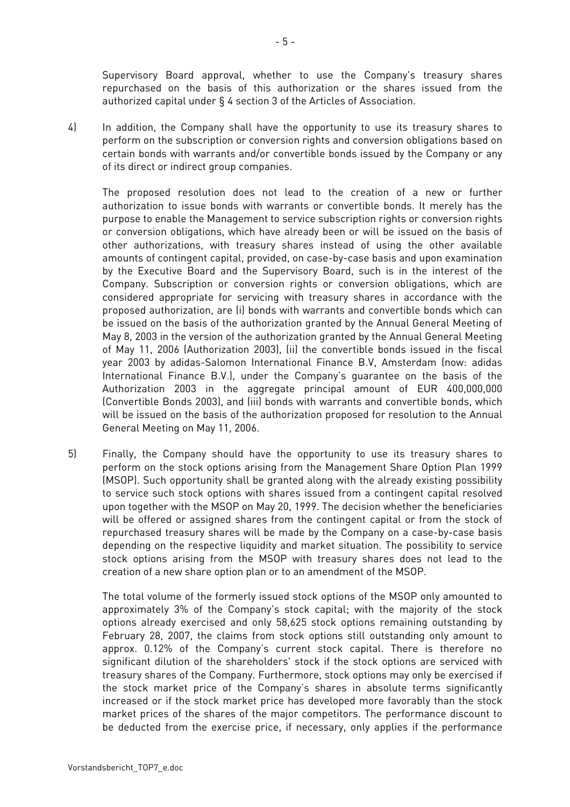Supervisory Board approval, whether to use the Company's treasury shares repurchased on the basis of this authorization or the shares issued from the authorized capital under § 4 section 3 of the Articles of Association.

4) In addition, the Company shall have the opportunity to use its treasury shares to perform on the subscription or conversion rights and conversion obligations based on certain bonds with warrants and/or convertible bonds issued by the Company or any of its direct or indirect group companies.

The proposed resolution does not lead to the creation of a new or further authorization to issue bonds with warrants or convertible bonds. It merely has the purpose to enable the Management to service subscription rights or conversion rights or conversion obligations, which have already been or will be issued on the basis of other authorizations, with treasury shares instead of using the other available amounts of contingent capital, provided, on case-by-case basis and upon examination by the Executive Board and the Supervisory Board, such is in the interest of the Company. Subscription or conversion rights or conversion obligations, which are considered appropriate for servicing with treasury shares in accordance with the proposed authorization, are (i) bonds with warrants and convertible bonds which can be issued on the basis of the authorization granted by the Annual General Meeting of May 8, 2003 in the version of the authorization granted by the Annual General Meeting of May 11, 2006 (Authorization 2003), (ii) the convertible bonds issued in the fiscal year 2003 by adidas-Salomon International Finance B.V, Amsterdam (now: adidas International Finance B.V.), under the Company's guarantee on the basis of the Authorization 2003 in the aggregate principal amount of EUR 400,000,000 (Convertible Bonds 2003), and (iii) bonds with warrants and convertible bonds, which will be issued on the basis of the authorization proposed for resolution to the Annual General Meeting on May 11, 2006.

5) Finally, the Company should have the opportunity to use its treasury shares to perform on the stock options arising from the Management Share Option Plan 1999 (MSOP). Such opportunity shall be granted along with the already existing possibility to service such stock options with shares issued from a contingent capital resolved upon together with the MSOP on May 20, 1999. The decision whether the beneficiaries will be offered or assigned shares from the contingent capital or from the stock of repurchased treasury shares will be made by the Company on a case-by-case basis depending on the respective liquidity and market situation. The possibility to service stock options arising from the MSOP with treasury shares does not lead to the creation of a new share option plan or to an amendment of the MSOP.

The total volume of the formerly issued stock options of the MSOP only amounted to approximately 3% of the Company's stock capital; with the majority of the stock options already exercised and only 58,625 stock options remaining outstanding by February 28, 2007, the claims from stock options still outstanding only amount to approx. 0.12% of the Company's current stock capital. There is therefore no significant dilution of the shareholders' stock if the stock options are serviced with treasury shares of the Company. Furthermore, stock options may only be exercised if the stock market price of the Company's shares in absolute terms significantly increased or if the stock market price has developed more favorably than the stock market prices of the shares of the major competitors. The performance discount to be deducted from the exercise price, if necessary, only applies if the performance